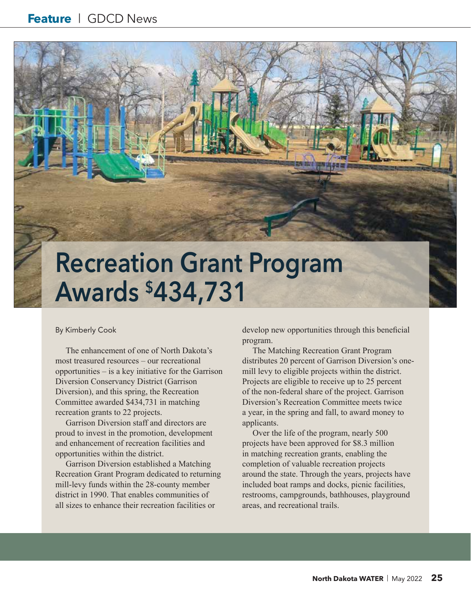## **Recreation Grant Program Awards \$434,731**

#### By Kimberly Cook

The enhancement of one of North Dakota's most treasured resources – our recreational opportunities – is a key initiative for the Garrison Diversion Conservancy District (Garrison Diversion), and this spring, the Recreation Committee awarded \$434,731 in matching recreation grants to 22 projects.

Garrison Diversion staff and directors are proud to invest in the promotion, development and enhancement of recreation facilities and opportunities within the district.

Garrison Diversion established a Matching Recreation Grant Program dedicated to returning mill-levy funds within the 28-county member district in 1990. That enables communities of all sizes to enhance their recreation facilities or

develop new opportunities through this beneficial program.

The Matching Recreation Grant Program distributes 20 percent of Garrison Diversion's onemill levy to eligible projects within the district. Projects are eligible to receive up to 25 percent of the non-federal share of the project. Garrison Diversion's Recreation Committee meets twice a year, in the spring and fall, to award money to applicants.

Over the life of the program, nearly 500 projects have been approved for \$8.3 million in matching recreation grants, enabling the completion of valuable recreation projects around the state. Through the years, projects have included boat ramps and docks, picnic facilities, restrooms, campgrounds, bathhouses, playground areas, and recreational trails.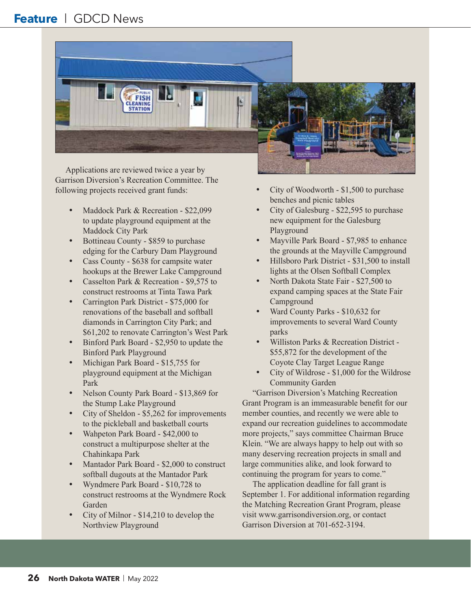#### **Feature** | GDCD News



Applications are reviewed twice a year by Garrison Diversion's Recreation Committee. The following projects received grant funds:

- Maddock Park & Recreation \$22,099 to update playground equipment at the Maddock City Park
- Bottineau County \$859 to purchase edging for the Carbury Dam Playground
- Cass County \$638 for campsite water hookups at the Brewer Lake Campground
- Casselton Park & Recreation \$9,575 to construct restrooms at Tinta Tawa Park
- Carrington Park District \$75,000 for renovations of the baseball and softball diamonds in Carrington City Park; and \$61,202 to renovate Carrington's West Park
- Binford Park Board \$2,950 to update the Binford Park Playground
- Michigan Park Board \$15,755 for playground equipment at the Michigan Park
- Nelson County Park Board \$13,869 for the Stump Lake Playground
- City of Sheldon \$5,262 for improvements to the pickleball and basketball courts
- Wahpeton Park Board \$42,000 to construct a multipurpose shelter at the Chahinkapa Park
- Mantador Park Board \$2,000 to construct softball dugouts at the Mantador Park
- Wyndmere Park Board \$10,728 to construct restrooms at the Wyndmere Rock Garden
- City of Milnor  $-$  \$14,210 to develop the Northview Playground
- City of Woodworth \$1,500 to purchase benches and picnic tables
- City of Galesburg \$22,595 to purchase new equipment for the Galesburg Playground
- Mayville Park Board \$7,985 to enhance the grounds at the Mayville Campground
- Hillsboro Park District \$31,500 to install lights at the Olsen Softball Complex
- North Dakota State Fair \$27,500 to expand camping spaces at the State Fair Campground
- Ward County Parks \$10,632 for improvements to several Ward County parks
- Williston Parks & Recreation District -\$55,872 for the development of the Coyote Clay Target League Range
- City of Wildrose \$1,000 for the Wildrose Community Garden

"Garrison Diversion's Matching Recreation Grant Program is an immeasurable benefit for our member counties, and recently we were able to expand our recreation guidelines to accommodate more projects," says committee Chairman Bruce Klein. "We are always happy to help out with so many deserving recreation projects in small and large communities alike, and look forward to continuing the program for years to come."

The application deadline for fall grant is September 1. For additional information regarding the Matching Recreation Grant Program, please visit www.garrisondiversion.org, or contact Garrison Diversion at 701-652-3194.